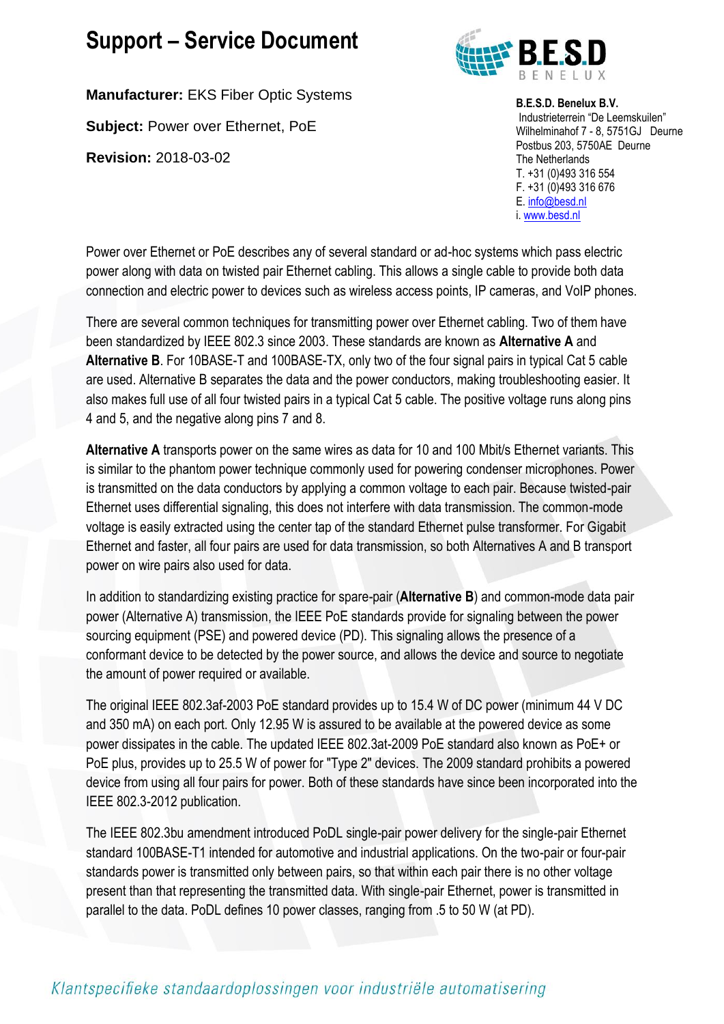**Manufacturer:** EKS Fiber Optic Systems

**Subject:** Power over Ethernet, PoE

**Revision:** 2018-03-02



**B.E.S.D. Benelux B.V.** Industrieterrein "De Leemskuilen" Wilhelminahof 7 - 8, 5751GJ Deurne Postbus 203, 5750AE Deurne The Netherlands T. +31 (0)493 316 554 F. +31 (0)493 316 676 E[. info@besd.nl](mailto:info@besd.nl) i. [www.besd.nl](http://www.besd.nl/)

Power over Ethernet or PoE describes any of several standard or ad-hoc systems which pass electric power along with data on twisted pair Ethernet cabling. This allows a single cable to provide both data connection and electric power to devices such as wireless access points, IP cameras, and VoIP phones.

There are several common techniques for transmitting power over Ethernet cabling. Two of them have been standardized by IEEE 802.3 since 2003. These standards are known as **Alternative A** and **Alternative B**. For 10BASE-T and 100BASE-TX, only two of the four signal pairs in typical Cat 5 cable are used. Alternative B separates the data and the power conductors, making troubleshooting easier. It also makes full use of all four twisted pairs in a typical Cat 5 cable. The positive voltage runs along pins 4 and 5, and the negative along pins 7 and 8.

**Alternative A** transports power on the same wires as data for 10 and 100 Mbit/s Ethernet variants. This is similar to the phantom power technique commonly used for powering condenser microphones. Power is transmitted on the data conductors by applying a common voltage to each pair. Because twisted-pair Ethernet uses differential signaling, this does not interfere with data transmission. The common-mode voltage is easily extracted using the center tap of the standard Ethernet pulse transformer. For Gigabit Ethernet and faster, all four pairs are used for data transmission, so both Alternatives A and B transport power on wire pairs also used for data.

In addition to standardizing existing practice for spare-pair (**Alternative B**) and common-mode data pair power (Alternative A) transmission, the IEEE PoE standards provide for signaling between the power sourcing equipment (PSE) and powered device (PD). This signaling allows the presence of a conformant device to be detected by the power source, and allows the device and source to negotiate the amount of power required or available.

The original IEEE 802.3af-2003 PoE standard provides up to 15.4 W of DC power (minimum 44 V DC and 350 mA) on each port. Only 12.95 W is assured to be available at the powered device as some power dissipates in the cable. The updated IEEE 802.3at-2009 PoE standard also known as PoE+ or PoE plus, provides up to 25.5 W of power for "Type 2" devices. The 2009 standard prohibits a powered device from using all four pairs for power. Both of these standards have since been incorporated into the IEEE 802.3-2012 publication.

The IEEE 802.3bu amendment introduced PoDL single-pair power delivery for the single-pair Ethernet standard 100BASE-T1 intended for automotive and industrial applications. On the two-pair or four-pair standards power is transmitted only between pairs, so that within each pair there is no other voltage present than that representing the transmitted data. With single-pair Ethernet, power is transmitted in parallel to the data. PoDL defines 10 power classes, ranging from .5 to 50 W (at PD).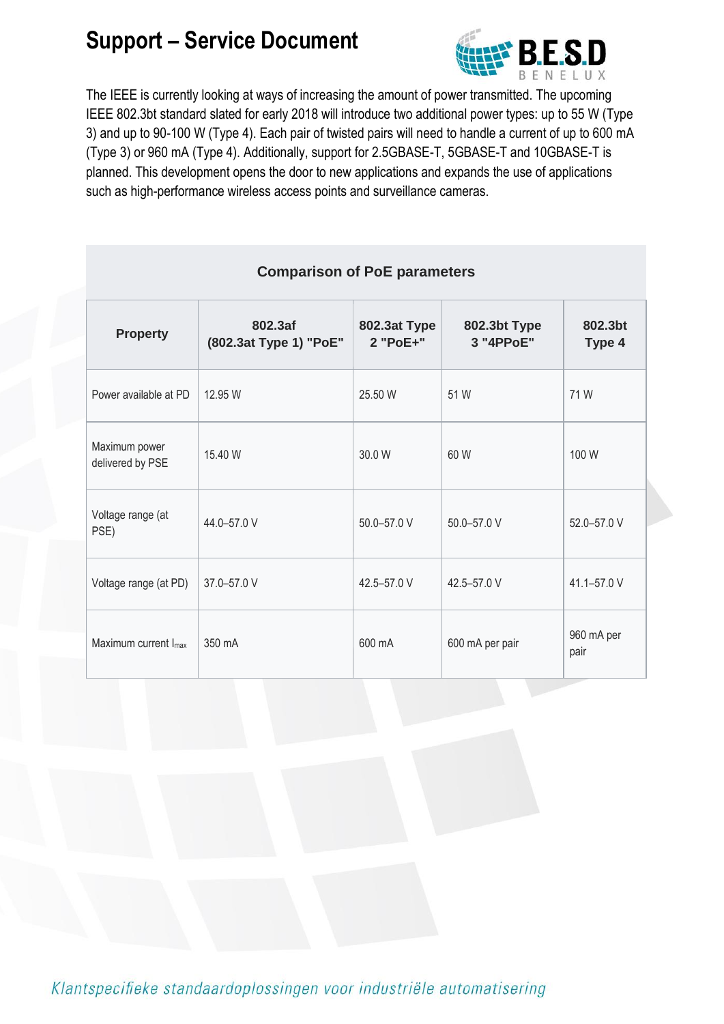

The IEEE is currently looking at ways of increasing the amount of power transmitted. The upcoming IEEE 802.3bt standard slated for early 2018 will introduce two additional power types: up to 55 W (Type 3) and up to 90-100 W (Type 4). Each pair of twisted pairs will need to handle a current of up to 600 mA (Type 3) or 960 mA (Type 4). Additionally, support for 2.5GBASE-T, 5GBASE-T and 10GBASE-T is planned. This development opens the door to new applications and expands the use of applications such as high-performance wireless access points and surveillance cameras.

| <b>Comparison of PoE parameters</b> |                                   |                          |                           |                    |  |  |  |  |  |  |
|-------------------------------------|-----------------------------------|--------------------------|---------------------------|--------------------|--|--|--|--|--|--|
| <b>Property</b>                     | 802.3af<br>(802.3at Type 1) "PoE" | 802.3at Type<br>2 "PoE+" | 802.3bt Type<br>3 "4PPoE" | 802.3bt<br>Type 4  |  |  |  |  |  |  |
| Power available at PD               | 12.95 W                           | 25.50 W                  | 51 W                      | 71 W               |  |  |  |  |  |  |
| Maximum power<br>delivered by PSE   | 15.40 W                           | 30.0 W                   | 60 W                      | 100 W              |  |  |  |  |  |  |
| Voltage range (at<br>PSE)           | 44.0-57.0 V                       | 50.0-57.0 V              | 50.0-57.0 V               | 52.0-57.0 V        |  |  |  |  |  |  |
| Voltage range (at PD)               | 37.0-57.0 V                       | 42.5-57.0 V              | 42.5-57.0 V               | 41.1-57.0 V        |  |  |  |  |  |  |
| Maximum current I <sub>max</sub>    | 350 mA                            | 600 mA                   | 600 mA per pair           | 960 mA per<br>pair |  |  |  |  |  |  |

**Comparison of PoE parameters**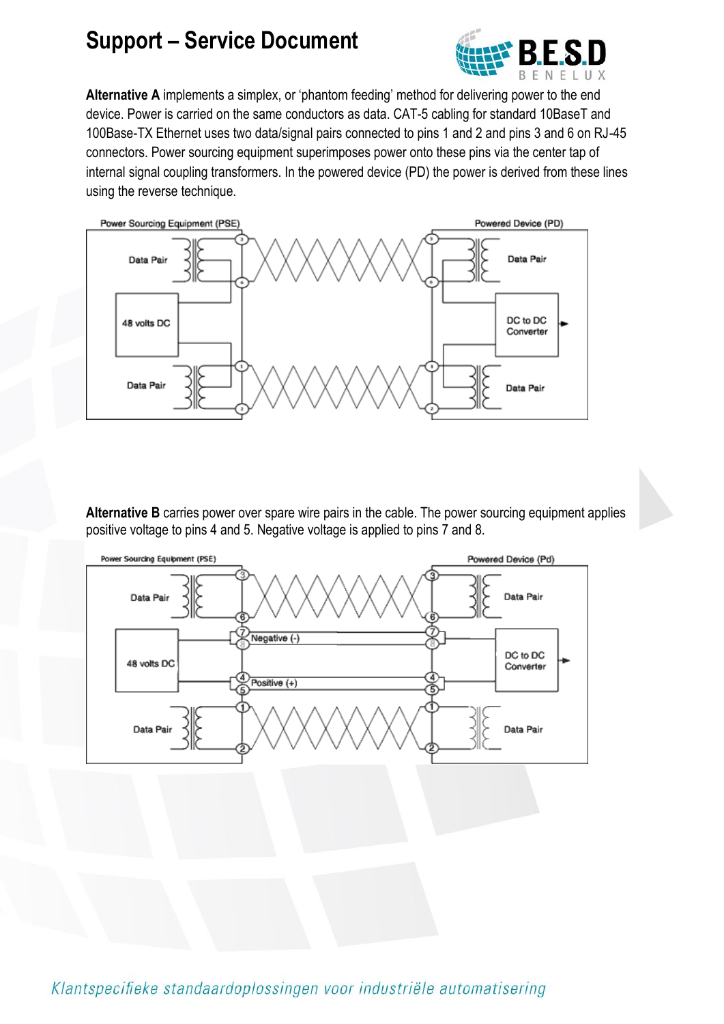

**Alternative A** implements a simplex, or 'phantom feeding' method for delivering power to the end device. Power is carried on the same conductors as data. CAT-5 cabling for standard 10BaseT and 100Base-TX Ethernet uses two data/signal pairs connected to pins 1 and 2 and pins 3 and 6 on RJ-45 connectors. Power sourcing equipment superimposes power onto these pins via the center tap of internal signal coupling transformers. In the powered device (PD) the power is derived from these lines using the reverse technique.



**Alternative B** carries power over spare wire pairs in the cable. The power sourcing equipment applies positive voltage to pins 4 and 5. Negative voltage is applied to pins 7 and 8.